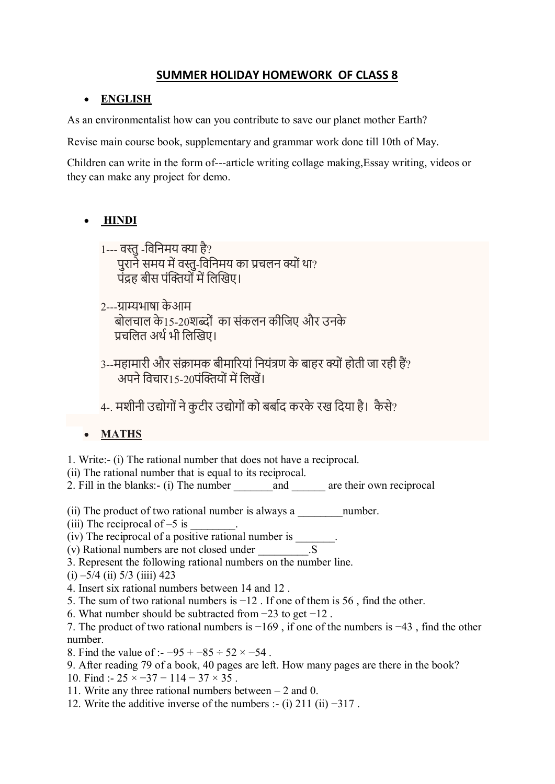## **SUMMER HOLIDAY HOMEWORK OF CLASS 8**

#### **ENGLISH**

As an environmentalist how can you contribute to save our planet mother Earth?

Revise main course book, supplementary and grammar work done till 10th of May.

Children can write in the form of---article writing collage making,Essay writing, videos or they can make any project for demo.

#### **HINDI**  $\bullet$

- 1--- वस्तु-ववविमय क्या है? पुराने समय में वस्तु-विनिमय का प्रचलन क्यों था? पंद्रह बीस पंक्तियों में लिखिए।
- 2---ग्राम्यभाषा के आम बोलचाल के15-20शब्दों का संकलन कीजिए और उनके प्रचलित अर्थ भी लिखिए।
- 3--महामारी और संक्रामक बीमारियां नियंत्रण के बाहर क्यों होती जा रही हैं? अपने विचार 15-20पंक्तियों में लिखें।
- 4-. मशीनी उद्योगों ने कटीर उद्योगों को बर्बाद करके रख दिया है। कैसे?

#### $\bullet$ **MATHS**

1. Write:- (i) The rational number that does not have a reciprocal.

(ii) The rational number that is equal to its reciprocal.

2. Fill in the blanks:- (i) The number  $\qquad \qquad$  and  $\qquad \qquad$  are their own reciprocal

- (ii) The product of two rational number is always a \_\_\_\_\_\_\_\_\_\_\_\_\_\_\_\_\_\_\_\_\_\_\_\_\_\_\_\_\_
- (iii) The reciprocal of  $-5$  is

 $(iv)$  The reciprocal of a positive rational number is \_\_\_\_\_\_.

- (v) Rational numbers are not closed under \_\_\_\_\_\_\_\_\_.S
- 3. Represent the following rational numbers on the number line.
- $(i) -5/4$  (ii)  $5/3$  (iiii) 423

4. Insert six rational numbers between 14 and 12 .

- 5. The sum of two rational numbers is  $-12$ . If one of them is 56, find the other.
- 6. What number should be subtracted from −23 to get −12 .

7. The product of two rational numbers is −169 , if one of the numbers is −43 , find the other number.

8. Find the value of :-  $-95 + -85 \div 52 \times -54$ .

- 9. After reading 79 of a book, 40 pages are left. How many pages are there in the book?
- 10. Find :-  $25 \times -37 114 37 \times 35$ .
- 11. Write any three rational numbers between 2 and 0.
- 12. Write the additive inverse of the numbers :- (i) 211 (ii) −317 .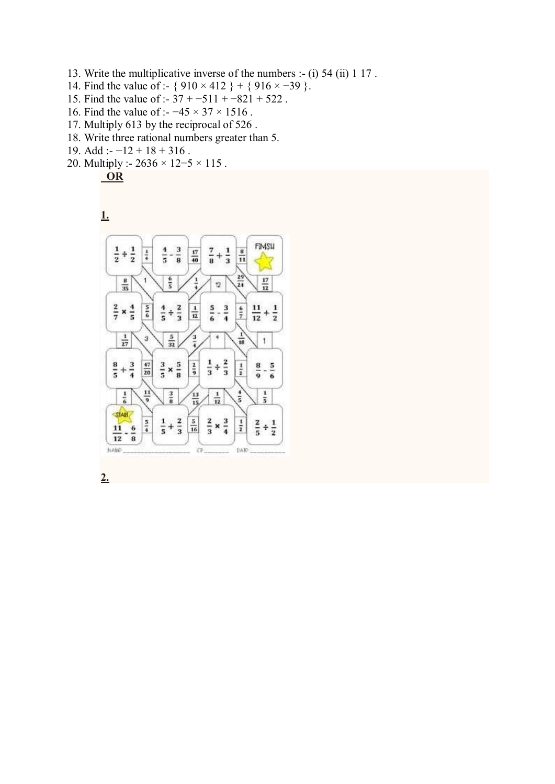- 13. Write the multiplicative inverse of the numbers :- (i) 54 (ii) 1 17 .
- 14. Find the value of :- {  $910 \times 412$  } + {  $916 \times -39$  }.
- 15. Find the value of :- 37 + −511 + −821 + 522 .
- 16. Find the value of :- −45 × 37 × 1516 .
- 17. Multiply 613 by the reciprocal of 526 .
- 18. Write three rational numbers greater than 5.
- 19. Add :- −12 + 18 + 316 .
- 20. Multiply :- 2636 × 12−5 × 115 .

$$
\fbox{OR}
$$





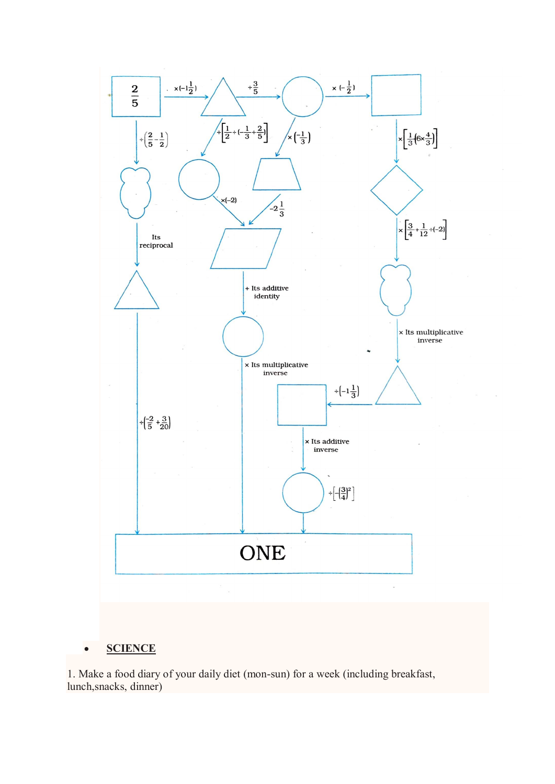

#### **SCIENCE**  $\bullet$

1. Make a food diary of your daily diet (mon-sun) for a week (including breakfast, lunch,snacks, dinner)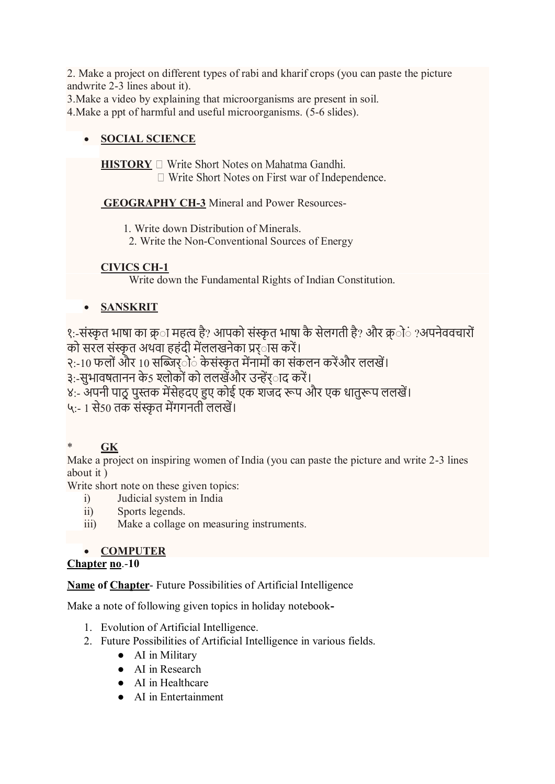2. Make a project on different types of rabi and kharif crops (you can paste the picture andwrite 2-3 lines about it).

3.Make a video by explaining that microorganisms are present in soil.

4.Make a ppt of harmful and useful microorganisms. (5-6 slides).

## **SOCIAL SCIENCE**

**HISTORY**  $\Box$  Write Short Notes on Mahatma Gandhi.  $\Box$  Write Short Notes on First war of Independence.

**GEOGRAPHY CH-3** Mineral and Power Resources-

1. Write down Distribution of Minerals.

2. Write the Non-Conventional Sources of Energy

## **CIVICS CH-1**

Write down the Fundamental Rights of Indian Constitution.

#### $\bullet$ **SANSKRIT**

<u>१</u>:-संस्कृत भाषा का क्र**ा महत्व है? आपको संस्कृत भाषा कै सेलगती** है? और क्र**ो**ं ?अपनेववचारों को सरल संस्कृत अथवा हहंदी मेंललखनेका प्रर<sup>ा</sup>स करें।

२:-10 फलों और 10 सब्जिर्ों के संस्कृत मेंनामों का संकलन करेंऔर ललखें।

३:-सुभावषतानन के5 श्लोकों को ललखेंऔर उन्हेंर**ाद करें।** 

४:- अपनी पाठ्रु पुस्तक मेंसेहदए हुए कोई एक शजद रूप और एक धातुरूप ललखें।

५:- 1 से50 तक संस्कृत मेंगगनती ललखें।

# \* **GK**

Make a project on inspiring women of India (you can paste the picture and write 2-3 lines about it )

Write short note on these given topics:

- i) Judicial system in India
- ii) Sports legends.
- iii) Make a collage on measuring instruments.

# **COMPUTER**

## **Chapter no**.-**10**

**Name of Chapter**- Future Possibilities of Artificial Intelligence

Make a note of following given topics in holiday notebook**-**

- 1. Evolution of Artificial Intelligence.
- 2. Future Possibilities of Artificial Intelligence in various fields.
	- AI in Military
	- AI in Research
	- AI in Healthcare
	- AI in Entertainment